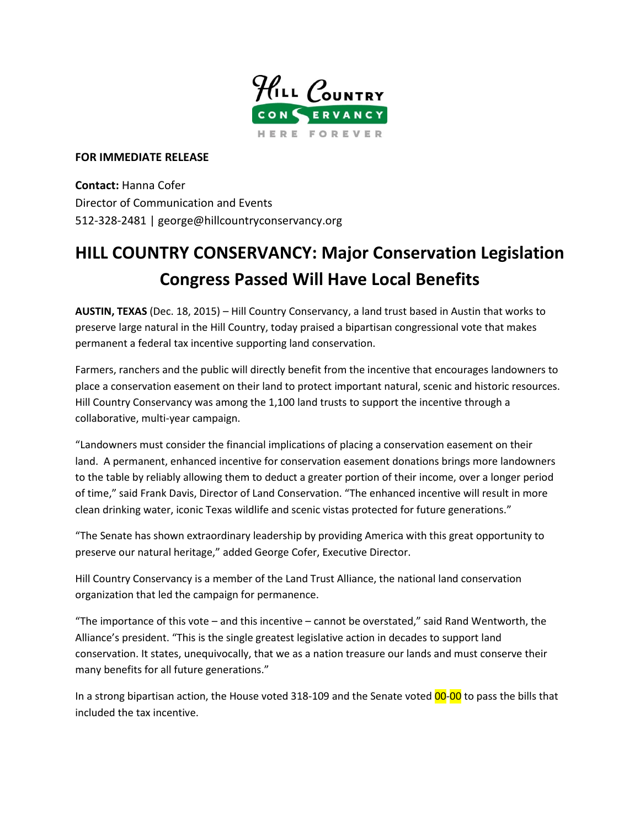

## **FOR IMMEDIATE RELEASE**

**Contact:** Hanna Cofer Director of Communication and Events 512-328-2481 | george@hillcountryconservancy.org

## **HILL COUNTRY CONSERVANCY: Major Conservation Legislation Congress Passed Will Have Local Benefits**

**AUSTIN, TEXAS** (Dec. 18, 2015) – Hill Country Conservancy, a land trust based in Austin that works to preserve large natural in the Hill Country, today praised a bipartisan congressional vote that makes permanent a federal tax incentive supporting land conservation.

Farmers, ranchers and the public will directly benefit from the incentive that encourages landowners to place a conservation easement on their land to protect important natural, scenic and historic resources. Hill Country Conservancy was among the 1,100 land trusts to support the incentive through a collaborative, multi-year campaign.

"Landowners must consider the financial implications of placing a conservation easement on their land. A permanent, enhanced incentive for conservation easement donations brings more landowners to the table by reliably allowing them to deduct a greater portion of their income, over a longer period of time," said Frank Davis, Director of Land Conservation. "The enhanced incentive will result in more clean drinking water, iconic Texas wildlife and scenic vistas protected for future generations."

"The Senate has shown extraordinary leadership by providing America with this great opportunity to preserve our natural heritage," added George Cofer, Executive Director.

Hill Country Conservancy is a member of the Land Trust Alliance, the national land conservation organization that led the campaign for permanence.

"The importance of this vote – and this incentive – cannot be overstated," said Rand Wentworth, the Alliance's president. "This is the single greatest legislative action in decades to support land conservation. It states, unequivocally, that we as a nation treasure our lands and must conserve their many benefits for all future generations."

In a strong bipartisan action, the House voted 318-109 and the Senate voted 00-00 to pass the bills that included the tax incentive.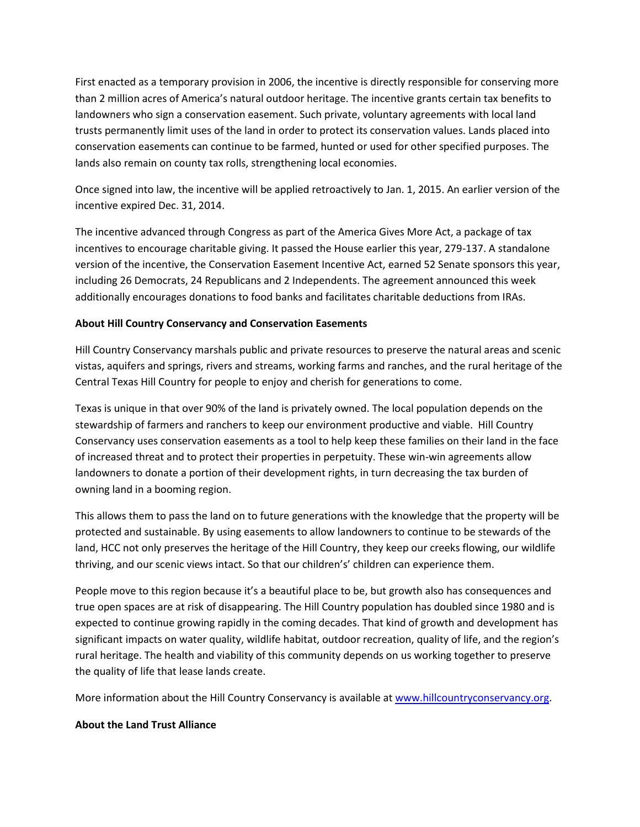First enacted as a temporary provision in 2006, the incentive is directly responsible for conserving more than 2 million acres of America's natural outdoor heritage. The incentive grants certain tax benefits to landowners who sign a conservation easement. Such private, voluntary agreements with local land trusts permanently limit uses of the land in order to protect its conservation values. Lands placed into conservation easements can continue to be farmed, hunted or used for other specified purposes. The lands also remain on county tax rolls, strengthening local economies.

Once signed into law, the incentive will be applied retroactively to Jan. 1, 2015. An earlier version of the incentive expired Dec. 31, 2014.

The incentive advanced through Congress as part of the America Gives More Act, a package of tax incentives to encourage charitable giving. It passed the House earlier this year, 279-137. A standalone version of the incentive, the Conservation Easement Incentive Act, earned 52 Senate sponsors this year, including 26 Democrats, 24 Republicans and 2 Independents. The agreement announced this week additionally encourages donations to food banks and facilitates charitable deductions from IRAs.

## **About Hill Country Conservancy and Conservation Easements**

Hill Country Conservancy marshals public and private resources to preserve the natural areas and scenic vistas, aquifers and springs, rivers and streams, working farms and ranches, and the rural heritage of the Central Texas Hill Country for people to enjoy and cherish for generations to come.

Texas is unique in that over 90% of the land is privately owned. The local population depends on the stewardship of farmers and ranchers to keep our environment productive and viable. Hill Country Conservancy uses conservation easements as a tool to help keep these families on their land in the face of increased threat and to protect their properties in perpetuity. These win-win agreements allow landowners to donate a portion of their development rights, in turn decreasing the tax burden of owning land in a booming region.

This allows them to pass the land on to future generations with the knowledge that the property will be protected and sustainable. By using easements to allow landowners to continue to be stewards of the land, HCC not only preserves the heritage of the Hill Country, they keep our creeks flowing, our wildlife thriving, and our scenic views intact. So that our children's' children can experience them.

People move to this region because it's a beautiful place to be, but growth also has consequences and true open spaces are at risk of disappearing. The Hill Country population has doubled since 1980 and is expected to continue growing rapidly in the coming decades. That kind of growth and development has significant impacts on water quality, wildlife habitat, outdoor recreation, quality of life, and the region's rural heritage. The health and viability of this community depends on us working together to preserve the quality of life that lease lands create.

More information about the Hill Country Conservancy is available at [www.hillcountryconservancy.org.](http://www.hillcountryconservancy.org/)

## **About the Land Trust Alliance**